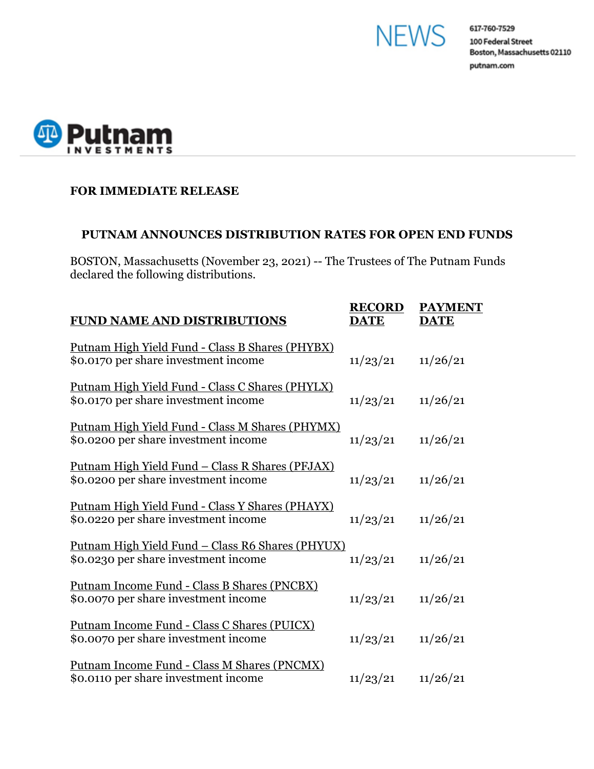



## **FOR IMMEDIATE RELEASE**

## **PUTNAM ANNOUNCES DISTRIBUTION RATES FOR OPEN END FUNDS**

BOSTON, Massachusetts (November 23, 2021) -- The Trustees of The Putnam Funds declared the following distributions.

| <b>FUND NAME AND DISTRIBUTIONS</b>                                                               | <b>RECORD</b><br><b>DATE</b> | <b>PAYMENT</b><br><b>DATE</b> |
|--------------------------------------------------------------------------------------------------|------------------------------|-------------------------------|
| <u> Putnam High Yield Fund - Class B Shares (PHYBX)</u><br>\$0.0170 per share investment income  | 11/23/21                     | 11/26/21                      |
| Putnam High Yield Fund - Class C Shares (PHYLX)<br>\$0.0170 per share investment income          | 11/23/21                     | 11/26/21                      |
| Putnam High Yield Fund - Class M Shares (PHYMX)<br>\$0.0200 per share investment income          | 11/23/21                     | 11/26/21                      |
| <u> Putnam High Yield Fund – Class R Shares (PFJAX)</u><br>\$0.0200 per share investment income  | 11/23/21                     | 11/26/21                      |
| Putnam High Yield Fund - Class Y Shares (PHAYX)<br>\$0.0220 per share investment income          | 11/23/21                     | 11/26/21                      |
| <u> Putnam High Yield Fund – Class R6 Shares (PHYUX)</u><br>\$0.0230 per share investment income | 11/23/21                     | 11/26/21                      |
| Putnam Income Fund - Class B Shares (PNCBX)<br>\$0.0070 per share investment income              | 11/23/21                     | 11/26/21                      |
| Putnam Income Fund - Class C Shares (PUICX)<br>\$0.0070 per share investment income              | 11/23/21                     | 11/26/21                      |
| Putnam Income Fund - Class M Shares (PNCMX)<br>\$0.0110 per share investment income              | 11/23/21                     | 11/26/21                      |